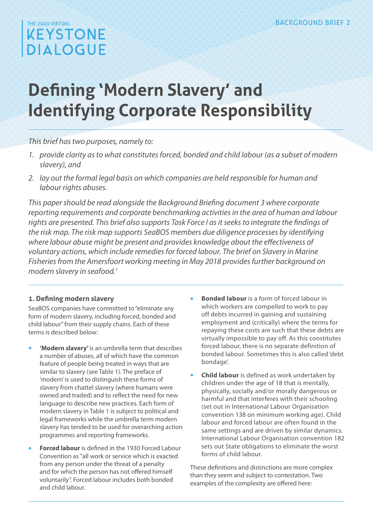### THE 2020 VIRTUAL **KEYSTONE DIALOGUE**

# **Defining 'Modern Slavery' and Identifying Corporate Responsibility**

*This brief has two purposes, namely to:*

- *1. provide clarity as to what constitutes forced, bonded and child labour (as a subset of modern slavery), and*
- *2. lay out the formal legal basis on which companies are held responsible for human and labour rights abuses.*

*This paper should be read alongside the Background Briefing document 3 where corporate reporting requirements and corporate benchmarking activities in the area of human and labour rights are presented. This brief also supports Task Force I as it seeks to integrate the findings of the risk map. The risk map supports SeaBOS members due diligence processes by identifying where labour abuse might be present and provides knowledge about the effectiveness of voluntary actions, which include remedies for forced labour. The brief on Slavery in Marine Fisheries from the Amersfoort working meeting in May 2018 provides further background on modern slavery in seafood.1*

#### **1. Defining modern slavery**

SeaBOS companies have committed to "eliminate any form of modern slavery, including forced, bonded and child labour" from their supply chains. Each of these terms is described below:

- **• 'Modern slavery'** is an umbrella term that describes a number of abuses, all of which have the common feature of people being treated in ways that are similar to slavery (see Table 1). The preface of 'modern' is used to distinguish these forms of slavery from chattel slavery (where humans were owned and traded) and to reflect the need for new language to describe new practices. Each form of modern slavery in Table 1 is subject to political and legal frameworks while the umbrella term modern slavery has tended to be used for overarching action programmes and reporting frameworks.
- **• Forced labour** is defined in the 1930 Forced Labour Convention as "all work or service which is exacted from any person under the threat of a penalty and for which the person has not offered himself voluntarily". Forced labour includes both bonded and child labour.
- **• Bonded labour** is a form of forced labour in which workers are compelled to work to pay off debts incurred in gaining and sustaining employment and (critically) where the terms for repaying these costs are such that these debts are virtually impossible to pay off. As this constitutes forced labour, there is no separate definition of bonded labour. Sometimes this is also called 'debt bondage'.
- **• Child labour** is defined as work undertaken by children under the age of 18 that is mentally, physically, socially and/or morally dangerous or harmful and that interferes with their schooling (set out in International Labour Organisation convention 138 on minimum working age). Child labour and forced labour are often found in the same settings and are driven by similar dynamics. International Labour Organisation convention 182 sets out State obligations to eliminate the worst forms of child labour.

These definitions and distinctions are more complex than they seem and subject to contestation. Two examples of the complexity are offered here: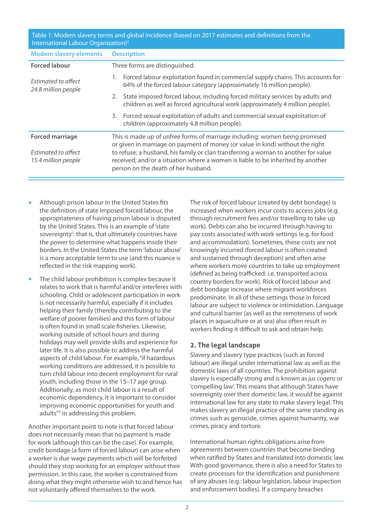Table 1: Modern slavery terms and global incidence (based on 2017 estimates and definitions from the International Labour Organization)<sup>2</sup>

| <b>Modern slavery elements</b>             | <b>Description</b>                                                                                                                                                                                           |
|--------------------------------------------|--------------------------------------------------------------------------------------------------------------------------------------------------------------------------------------------------------------|
| <b>Forced labour</b>                       | Three forms are distinguished:                                                                                                                                                                               |
| Estimated to affect<br>24.8 million people | Forced labour exploitation found in commercial supply chains. This accounts for<br>64% of the forced labour category (approximately 16 million people).                                                      |
|                                            | State imposed forced labour, including forced military services by adults and<br>2.<br>children as well as forced agricultural work (approximately 4 million people).                                        |
|                                            | 3. Forced sexual exploitation of adults and commercial sexual exploitation of<br>children (approximately 4.8 million people).                                                                                |
| <b>Forced marriage</b>                     | This is made up of unfree forms of marriage including: women being promised<br>or given in marriage on payment of money (or value in kind) without the right                                                 |
| Estimated to affect<br>15.4 million people | to refuse; a husband, his family or clan transferring a woman to another for value<br>received; and/or a situation where a women is liable to be inherited by another<br>person on the death of her husband. |

- **•** Although prison labour in the United States fits the definition of state imposed forced labour, the appropriateness of having prison labour is disputed by the United States. This is an example of 'state sovereignty': that is, that ultimately countries have the power to determine what happens inside their borders. In the United States the term 'labour abuse' is a more acceptable term to use (and this nuance is reflected in the risk mapping work).
- **•** The child labour prohibition is complex because it relates to work that is harmful and/or interferes with schooling. Child or adolescent participation in work is not necessarily harmful, especially if it includes helping their family (thereby contributing to the welfare of poorer families) and this form of labour is often found in small scale fisheries. Likewise, working outside of school hours and during holidays may well provide skills and experience for later life. It is also possible to address the harmful aspects of child labour. For example, "if hazardous working conditions are addressed, it is possible to turn child labour into decent employment for rural youth, including those in the 15–17 age group. Additionally, as most child labour is a result of economic dependency, it is important to consider improving economic opportunities for youth and adults"<sup>3</sup> in addressing this problem.

Another important point to note is that forced labour does not necessarily mean that no payment is made for work (although this can be the case). For example, credit bondage (a form of forced labour) can arise when a worker is due wage payments which will be forfeited should they stop working for an employer without their permission. In this case, the worker is constrained from doing what they might otherwise wish to and hence has not voluntarily offered themselves to the work.

The risk of forced labour (created by debt bondage) is increased when workers incur costs to access jobs (e.g. through recruitment fees and/or travelling to take up work). Debts can also be incurred through having to pay costs associated with work settings (e.g. for food and accommodation). Sometimes, these costs are not knowingly incurred (forced labour is often created and sustained through deception) and often arise where workers move countries to take up employment (defined as being trafficked: i.e. transported across country borders for work). Risk of forced labour and debt bondage increase where migrant workforces predominate. In all of these settings those in forced labour are subject to violence or intimidation. Language and cultural barrier (as well as the remoteness of work places in aquaculture or at sea) also often result in workers finding it difficult to ask and obtain help.

#### **2. The legal landscape**

Slavery and slavery type practices (such as forced labour) are illegal under international law as well as the domestic laws of all countries. The prohibition against slavery is especially strong and is known as *jus cogens* or 'compelling law'. This means that although States have sovereignty over their domestic law, it would be against international law for any state to make slavery legal. This makes slavery an illegal practice of the same standing as crimes such as genocide, crimes against humanity, war crimes, piracy and torture.

International human rights obligations arise from agreements between countries that become binding when ratified by States and translated into domestic law. With good governance, there is also a need for States to create processes for the identification and punishment of any abuses (e.g.: labour legislation, labour inspection and enforcement bodies). If a company breaches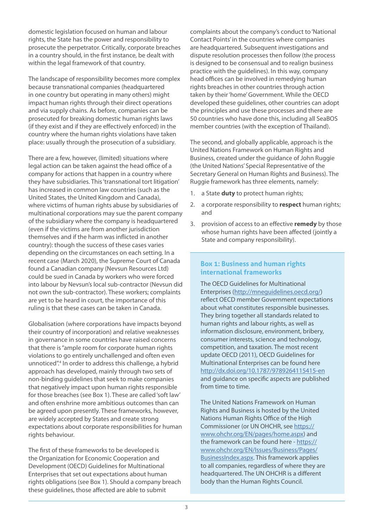domestic legislation focused on human and labour rights, the State has the power and responsibility to prosecute the perpetrator. Critically, corporate breaches in a country should, in the first instance, be dealt with within the legal framework of that country.

The landscape of responsibility becomes more complex because transnational companies (headquartered in one country but operating in many others) might impact human rights through their direct operations and via supply chains. As before, companies can be prosecuted for breaking domestic human rights laws (if they exist and if they are effectively enforced) in the country where the human rights violations have taken place: usually through the prosecution of a subsidiary.

There are a few, however, (limited) situations where legal action can be taken against the head office of a company for actions that happen in a country where they have subsidiaries. This 'transnational tort litigation' has increased in common law countries (such as the United States, the United Kingdom and Canada), where victims of human rights abuse by subsidiaries of multinational corporations may sue the parent company of the subsidiary where the company is headquartered (even if the victims are from another jurisdiction themselves and if the harm was inflicted in another country): though the success of these cases varies depending on the circumstances on each setting. In a recent case (March 2020), the Supreme Court of Canada found a Canadian company (Nevsun Resources Ltd) could be sued in Canada by workers who were forced into labour by Nevsun's local sub-contractor (Nevsun did not own the sub-contractor). These workers; complaints are yet to be heard in court, the importance of this ruling is that these cases can be taken in Canada.

Globalisation (where corporations have impacts beyond their country of incorporation) and relative weaknesses in governance in some countries have raised concerns that there is "ample room for corporate human rights violations to go entirely unchallenged and often even unnoticed".4 In order to address this challenge, a hybrid approach has developed, mainly through two sets of non-binding guidelines that seek to make companies that negatively impact upon human rights responsible for those breaches (see Box 1). These are called 'soft law' and often enshrine more ambitious outcomes than can be agreed upon presently. These frameworks, however, are widely accepted by States and create strong expectations about corporate responsibilities for human rights behaviour.

The first of these frameworks to be developed is the Organization for Economic Cooperation and Development (OECD) Guidelines for Multinational Enterprises that set out expectations about human rights obligations (see Box 1). Should a company breach these guidelines, those affected are able to submit

complaints about the company's conduct to 'National Contact Points' in the countries where companies are headquartered. Subsequent investigations and dispute resolution processes then follow (the process is designed to be consensual and to realign business practice with the guidelines). In this way, company head offices can be involved in remedying human rights breaches in other countries through action taken by their 'home' Government. While the OECD developed these guidelines, other countries can adopt the principles and use these processes and there are 50 countries who have done this, including all SeaBOS member countries (with the exception of Thailand).

The second, and globally applicable, approach is the United Nations Framework on Human Rights and Business, created under the guidance of John Ruggie (the United Nations' Special Representative of the Secretary General on Human Rights and Business). The Ruggie framework has three elements, namely:

- 1. a State **duty** to protect human rights;
- 2. a corporate responsibility to **respect** human rights; and
- 3. provision of access to an effective **remedy** by those whose human rights have been affected (jointly a State and company responsibility).

#### **Box 1: Business and human rights international frameworks**

The OECD Guidelines for Multinational Enterprises [\(http://mneguidelines.oecd.org/\)](http://mneguidelines.oecd.org/) reflect OECD member Government expectations about what constitutes responsible businesses. They bring together all standards related to human rights and labour rights, as well as information disclosure, environment, bribery, consumer interests, science and technology, competition, and taxation. The most recent update OECD (2011), OECD Guidelines for Multinational Enterprises can be found here <http://dx.doi.org/10.1787/9789264115415-en> and guidance on specific aspects are published from time to time.

The United Nations Framework on Human Rights and Business is hosted by the United Nations Human Rights Office of the High Commissioner (or UN OHCHR, see [https://](https://www.ohchr.org/EN/pages/home.aspx) [www.ohchr.org/EN/pages/home.aspx](https://www.ohchr.org/EN/pages/home.aspx)) and the framework can be found here - [https://](https://www.ohchr.org/EN/Issues/Business/Pages/BusinessIndex.aspx) [www.ohchr.org/EN/Issues/Business/Pages/](https://www.ohchr.org/EN/Issues/Business/Pages/BusinessIndex.aspx) [BusinessIndex.aspx](https://www.ohchr.org/EN/Issues/Business/Pages/BusinessIndex.aspx). This framework applies to all companies, regardless of where they are headquartered. The UN OHCHR is a different body than the Human Rights Council.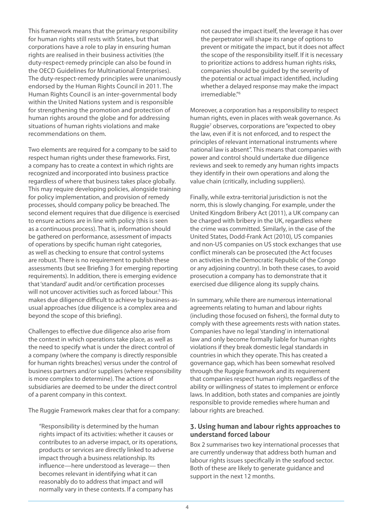This framework means that the primary responsibility for human rights still rests with States, but that corporations have a role to play in ensuring human rights are realised in their business activities (the duty-respect-remedy principle can also be found in the OECD Guidelines for Multinational Enterprises). The duty-respect-remedy principles were unanimously endorsed by the Human Rights Council in 2011. The Human Rights Council is an inter-governmental body within the United Nations system and is responsible for strengthening the promotion and protection of human rights around the globe and for addressing situations of human rights violations and make recommendations on them.

Two elements are required for a company to be said to respect human rights under these frameworks. First, a company has to create a context in which rights are recognized and incorporated into business practice regardless of where that business takes place globally. This may require developing policies, alongside training for policy implementation, and provision of remedy processes, should company policy be breached. The second element requires that due diligence is exercised to ensure actions are in line with policy (this is seen as a continuous process). That is, information should be gathered on performance, assessment of impacts of operations by specific human right categories, as well as checking to ensure that control systems are robust. There is no requirement to publish these assessments (but see Briefing 3 for emerging reporting requirements). In addition, there is emerging evidence that 'standard' audit and/or certification processes will not uncover activities such as forced labour.<sup>5</sup> This makes due diligence difficult to achieve by business-asusual approaches (due diligence is a complex area and beyond the scope of this briefing).

Challenges to effective due diligence also arise from the context in which operations take place, as well as the need to specify what is under the direct control of a company (where the company is directly responsible for human rights breaches) versus under the control of business partners and/or suppliers (where responsibility is more complex to determine). The actions of subsidiaries are deemed to be under the direct control of a parent company in this context.

The Ruggie Framework makes clear that for a company:

"Responsibility is determined by the human rights impact of its activities: whether it causes or contributes to an adverse impact, or its operations, products or services are directly linked to adverse impact through a business relationship. Its influence—here understood as leverage— then becomes relevant in identifying what it can reasonably do to address that impact and will normally vary in these contexts. If a company has

not caused the impact itself, the leverage it has over the perpetrator will shape its range of options to prevent or mitigate the impact, but it does not affect the scope of the responsibility itself. If it is necessary to prioritize actions to address human rights risks, companies should be guided by the severity of the potential or actual impact identified, including whether a delayed response may make the impact irremediable<sup>"6</sup>

Moreover, a corporation has a responsibility to respect human rights, even in places with weak governance. As Ruggie<sup>7</sup> observes, corporations are "expected to obey the law, even if it is not enforced, and to respect the principles of relevant international instruments where national law is absent". This means that companies with power and control should undertake due diligence reviews and seek to remedy any human rights impacts they identify in their own operations and along the value chain (critically, including suppliers).

Finally, while extra-territorial jurisdiction is not the norm, this is slowly changing. For example, under the United Kingdom Bribery Act (2011), a UK company can be charged with bribery in the UK, regardless where the crime was committed. Similarly, in the case of the United States, Dodd-Frank Act (2010), US companies and non-US companies on US stock exchanges that use conflict minerals can be prosecuted (the Act focuses on activities in the Democratic Republic of the Congo or any adjoining country). In both these cases, to avoid prosecution a company has to demonstrate that it exercised due diligence along its supply chains.

In summary, while there are numerous international agreements relating to human and labour rights (including those focused on fishers), the formal duty to comply with these agreements rests with nation states. Companies have no legal 'standing' in international law and only become formally liable for human rights violations if they break domestic legal standards in countries in which they operate. This has created a governance gap, which has been somewhat resolved through the Ruggie framework and its requirement that companies respect human rights regardless of the ability or willingness of states to implement or enforce laws. In addition, both states and companies are jointly responsible to provide remedies where human and labour rights are breached.

#### **3. Using human and labour rights approaches to understand forced labour**

Box 2 summarises two key international processes that are currently underway that address both human and labour rights issues specifically in the seafood sector. Both of these are likely to generate guidance and support in the next 12 months.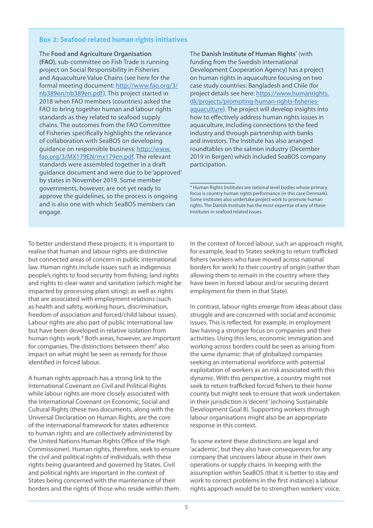#### **Box 2: Seafood related human rights initiatives**

The **Food and Agriculture Organisation (FAO)**, sub-committee on Fish Trade is running project on Social Responsibility in Fisheries and Aquaculture Value Chains (see here for the formal meeting document: [http://www.fao.org/3/](http://www.fao.org/3/nb389en/nb389en.pdf) [nb389en/nb389en.pdf\)](http://www.fao.org/3/nb389en/nb389en.pdf). This project started in 2018 when FAO members (countries) asked the FAO to bring together human and labour rights standards as they related to seafood supply chains. The outcomes from the FAO Committee of Fisheries specifically highlights the relevance of collaboration with SeaBOS on developing guidance on responsible business: [http://www.](http://www.fao.org/3/MX179EN/mx179en.pdf) [fao.org/3/MX179EN/mx179en.pdf](http://www.fao.org/3/MX179EN/mx179en.pdf). The relevant standards were assembled together in a draft guidance document and were due to be 'approved' by states in November 2019. Some member governments, however, are not yet ready to approve the guidelines, so the process is ongoing and is also one with which SeaBOS members can engage.

The **Danish Institute of Human Rights\*** (with funding from the Swedish International Development Cooperation Agency) has a project on human rights in aquaculture focusing on two case study countries: Bangladesh and Chile (for project details see here: [https://www.humanrights.](https://www.humanrights.dk/projects/promoting-human-rights-fisheries-aquaculture) [dk/projects/promoting-human-rights-fisheries](https://www.humanrights.dk/projects/promoting-human-rights-fisheries-aquaculture)[aquaculture](https://www.humanrights.dk/projects/promoting-human-rights-fisheries-aquaculture)). The project will develop insights into how to effectively address human rights issues in aquaculture, including connections to the feed industry and through partnership with banks and investors. The Institute has also arranged roundtables on the salmon industry (December 2019 in Bergen) which included SeaBOS company participation.

To better understand these projects, it is important to realise that human and labour rights are distinctive but connected areas of concern in public international law. Human rights include issues such as indigenous people's rights to food security from fishing; land rights and rights to clear water and sanitation (which might be impacted by processing plant siting); as well as rights that are associated with employment relations (such as health and safety, working hours, discrimination, freedom of association and forced/child labour issues). Labour rights are also part of public international law but have been developed in relative isolation from human rights work.<sup>8</sup> Both areas, however, are important for companies. The distinctions between them<sup>9</sup> also impact on what might be seen as remedy for those identified in forced labour.

A human rights approach has a strong link to the International Covenant on Civil and Political Rights while labour rights are more closely associated with the International Covenant on Economic, Social and Cultural Rights (these two documents, along with the Universal Declaration on Human Rights, are the core of the international framework for states adherence to human rights and are collectively administered by the United Nations Human Rights Office of the High Commissioner). Human rights, therefore, seek to ensure the civil and political rights of individuals, with these rights being guaranteed and governed by States. Civil and political rights are important in the context of States being concerned with the maintenance of their borders and the rights of those who reside within them. In the context of forced labour, such an approach might, for example, lead to States seeking to return trafficked fishers (workers who have moved across national borders for work) to their country of origin (rather than allowing them to remain in the country where they have been in forced labour and/or securing decent employment for them in that State).

In contrast, labour rights emerge from ideas about class struggle and are concerned with social and economic issues. This is reflected, for example, in employment law having a stronger focus on companies and their activities. Using this lens, economic immigration and working across borders could be seen as arising from the same dynamic: that of globalized companies seeking an international workforce with potential exploitation of workers as an risk associated with this dynamic. With this perspective, a country might not seek to return trafficked forced fishers to their home county but might seek to ensure that work undertaken in their jurisdiction is 'decent' (echoing Sustainable Development Goal 8). Supporting workers through labour organisations might also be an appropriate response in this context.

To some extent these distinctions are legal and 'academic', but they also have consequences for any company that uncovers labour abuse in their own operations or supply chains. In keeping with the assumption within SeaBOS (that it is better to stay and work to correct problems in the first instance) a labour rights approach would be to strengthen workers' voice,

<sup>\*</sup> Human Rights Institutes are national level bodies whose primary focus is country human rights performance (in this case Denmark). Some institutes also undertake project work to promote human rights. The Danish Institute has the most expertise of any of these Institutes in seafood related issues.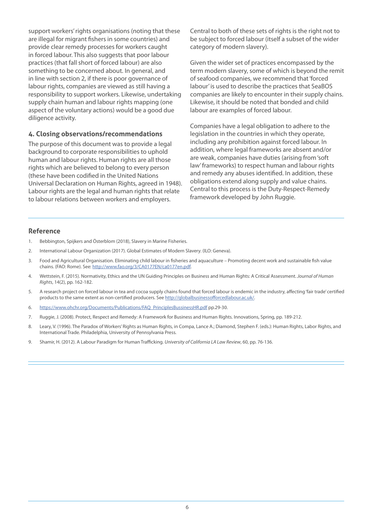support workers' rights organisations (noting that these are illegal for migrant fishers in some countries) and provide clear remedy processes for workers caught in forced labour. This also suggests that poor labour practices (that fall short of forced labour) are also something to be concerned about. In general, and in line with section 2, if there is poor governance of labour rights, companies are viewed as still having a responsibility to support workers. Likewise, undertaking supply chain human and labour rights mapping (one aspect of the voluntary actions) would be a good due diligence activity.

#### **4. Closing observations/recommendations**

The purpose of this document was to provide a legal background to corporate responsibilities to uphold human and labour rights. Human rights are all those rights which are believed to belong to every person (these have been codified in the United Nations Universal Declaration on Human Rights, agreed in 1948). Labour rights are the legal and human rights that relate to labour relations between workers and employers.

Central to both of these sets of rights is the right not to be subject to forced labour (itself a subset of the wider category of modern slavery).

Given the wider set of practices encompassed by the term modern slavery, some of which is beyond the remit of seafood companies, we recommend that 'forced labour' is used to describe the practices that SeaBOS companies are likely to encounter in their supply chains. Likewise, it should be noted that bonded and child labour are examples of forced labour.

Companies have a legal obligation to adhere to the legislation in the countries in which they operate, including any prohibition against forced labour. In addition, where legal frameworks are absent and/or are weak, companies have duties (arising from 'soft law' frameworks) to respect human and labour rights and remedy any abuses identified. In addition, these obligations extend along supply and value chains. Central to this process is the Duty-Respect-Remedy framework developed by John Ruggie.

#### **Reference**

- 1. Bebbington, Spijkers and Österblom (2018), Slavery in Marine Fisheries.
- 2. International Labour Organization (2017). Global Estimates of Modern Slavery. (ILO: Geneva).
- 3. Food and Agricultural Organisation. Eliminating child labour in fisheries and aquaculture Promoting decent work and sustainable fish value chains. (FAO: Rome). See: <http://www.fao.org/3/CA0177EN/ca0177en.pdf>.
- 4. Wettstein, F. (2015). Normativity, Ethics and the UN Guiding Principles on Business and Human Rights: A Critical Assessment. *Journal of Human Rights*, 14(2), pp. 162-182.
- 5. A research project on forced labour in tea and cocoa supply chains found that forced labour is endemic in the industry, affecting 'fair trade' certified products to the same extent as non-certified producers. See [http://globalbusinessofforcedlabour.ac.uk/.](http://globalbusinessofforcedlabour.ac.uk/)
- 6. [https://www.ohchr.org/Documents/Publications/FAQ\\_PrinciplesBussinessHR.pdf](https://www.ohchr.org/Documents/Publications/FAQ_PrinciplesBussinessHR.pdf) pp.29-30.
- 7. Ruggie, J. (2008). Protect, Respect and Remedy: A Framework for Business and Human Rights. Innovations, Spring, pp. 189-212.
- 8. Leary, V. (1996). The Paradox of Workers' Rights as Human Rights, in Compa, Lance A.; Diamond, Stephen F. (eds.): Human Rights, Labor Rights, and International Trade. Philadelphia, University of Pennsylvania Press.
- 9. Shamir, H. (2012). A Labour Paradigm for Human Trafficking. *University of California LA Law Review*, 60, pp. 76-136.